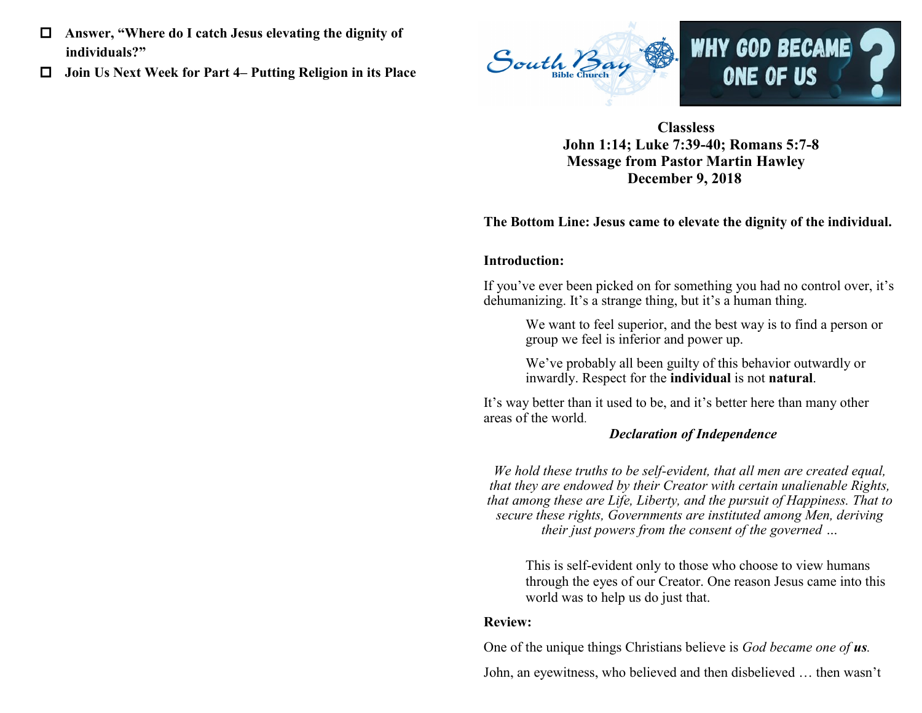- **Answer, "Where do I catch Jesus elevating the dignity of individuals?"**
- **Join Us Next Week for Part 4– Putting Religion in its Place**



 **Classless John 1:14; Luke 7:39-40; Romans 5:7-8 Message from Pastor Martin Hawley December 9, 2018**

#### **The Bottom Line: Jesus came to elevate the dignity of the individual.**

#### **Introduction:**

If you've ever been picked on for something you had no control over, it's dehumanizing. It's a strange thing, but it's a human thing.

> We want to feel superior, and the best way is to find a person or group we feel is inferior and power up.

We've probably all been guilty of this behavior outwardly or inwardly. Respect for the **individual** is not **natural**.

It's way better than it used to be, and it's better here than many other areas of the world.

#### *Declaration of Independence*

*We hold these truths to be self-evident, that all men are created equal, that they are endowed by their Creator with certain unalienable Rights, that among these are Life, Liberty, and the pursuit of Happiness. That to secure these rights, Governments are instituted among Men, deriving their just powers from the consent of the governed …* 

This is self-evident only to those who choose to view humans through the eyes of our Creator. One reason Jesus came into this world was to help us do just that.

#### **Review:**

One of the unique things Christians believe is *God became one of us.*

John, an eyewitness, who believed and then disbelieved … then wasn't